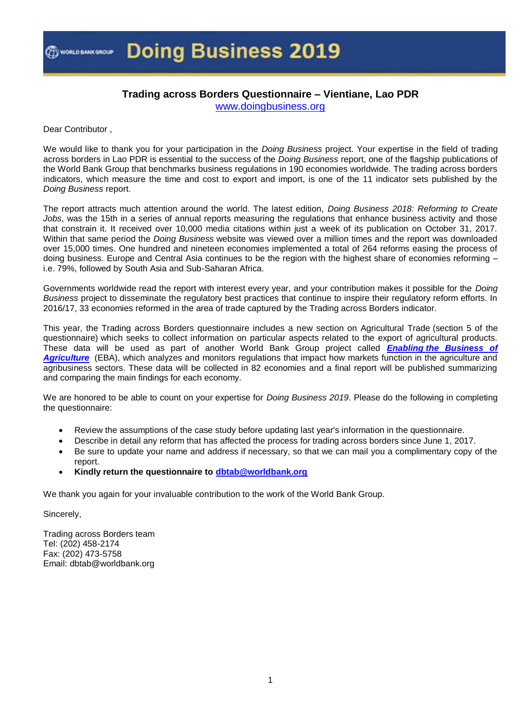

### **Trading across Borders Questionnaire – Vientiane, Lao PDR**

[www.doingbusiness.org](http://www.doingbusiness.org/)

Dear Contributor ,

We would like to thank you for your participation in the *Doing Business* project. Your expertise in the field of trading across borders in Lao PDR is essential to the success of the *Doing Business* report, one of the flagship publications of the World Bank Group that benchmarks business regulations in 190 economies worldwide. The trading across borders indicators, which measure the time and cost to export and import, is one of the 11 indicator sets published by the *Doing Business* report.

The report attracts much attention around the world. The latest edition, *Doing Business 2018: Reforming to Create Jobs*, was the 15th in a series of annual reports measuring the regulations that enhance business activity and those that constrain it. It received over 10,000 media citations within just a week of its publication on October 31, 2017. Within that same period the *Doing Business* website was viewed over a million times and the report was downloaded over 15,000 times. One hundred and nineteen economies implemented a total of 264 reforms easing the process of doing business. Europe and Central Asia continues to be the region with the highest share of economies reforming i.e. 79%, followed by South Asia and Sub-Saharan Africa.

Governments worldwide read the report with interest every year, and your contribution makes it possible for the *Doing Business* project to disseminate the regulatory best practices that continue to inspire their regulatory reform efforts. In 2016/17, 33 economies reformed in the area of trade captured by the Trading across Borders indicator.

This year, the Trading across Borders questionnaire includes a new section on Agricultural Trade (section 5 of the questionnaire) which seeks to collect information on particular aspects related to the export of agricultural products. These data will be used as part of another World Bank Group project called *[Enabling](http://eba.worldbank.org/) [the Business of](http://eba.worldbank.org/)*  [Agriculture](http://eba.worldbank.org/) (EBA), which analyzes and monitors regulations that impact how markets function in the agriculture and agribusiness sectors. These data will be collected in 82 economies and a final report will be published summarizing and comparing the main findings for each economy.

We are honored to be able to count on your expertise for *Doing Business 2019*. Please do the following in completing the questionnaire:

- Review the assumptions of the case study before updating last year's information in the questionnaire.
- Describe in detail any reform that has affected the process for trading across borders since June 1, 2017.
- Be sure to update your name and address if necessary, so that we can mail you a complimentary copy of the report.
- **Kindly return the questionnaire to [dbtab@worldbank.org](mailto:dbtab@worldbank.org)**

We thank you again for your invaluable contribution to the work of the World Bank Group.

Sincerely,

Trading across Borders team Tel: (202) 458-2174 Fax: (202) 473-5758 Email: dbtab@worldbank.org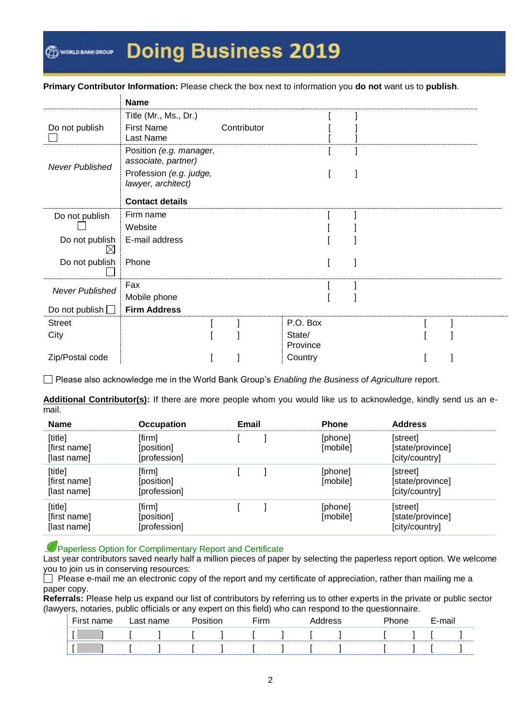WORLD BANK GROUP

## **Doing Business 2019**

**Primary Contributor Information:** Please check the box next to information you **do not** want us to **publish**.

|                        | <b>Name</b>                                    |             |                    |  |  |
|------------------------|------------------------------------------------|-------------|--------------------|--|--|
|                        | Title (Mr., Ms., Dr.)                          |             |                    |  |  |
| Do not publish         | <b>First Name</b><br>Last Name                 | Contributor |                    |  |  |
|                        | Position (e.g. manager,<br>associate, partner) |             |                    |  |  |
| <b>Never Published</b> | Profession (e.g. judge,<br>lawyer, architect)  |             |                    |  |  |
|                        | <b>Contact details</b>                         |             |                    |  |  |
| Do not publish         | Firm name                                      |             |                    |  |  |
|                        | Website                                        |             |                    |  |  |
| Do not publish<br>IХ   | E-mail address                                 |             |                    |  |  |
| Do not publish         | Phone                                          |             |                    |  |  |
|                        | Fax                                            |             |                    |  |  |
| <b>Never Published</b> | Mobile phone                                   |             |                    |  |  |
| Do not publish $\Box$  | <b>Firm Address</b>                            |             |                    |  |  |
| <b>Street</b>          |                                                |             | P.O. Box           |  |  |
| City                   |                                                |             | State/<br>Province |  |  |
| Zip/Postal code        |                                                |             | Country            |  |  |

Please also acknowledge me in the World Bank Group's *Enabling the Business of Agriculture* report.

**Additional Contributor(s):** If there are more people whom you would like us to acknowledge, kindly send us an email.

| <b>Name</b>                            | <b>Occupation</b>                    | Email | <b>Phone</b>        | <b>Address</b>                                 |
|----------------------------------------|--------------------------------------|-------|---------------------|------------------------------------------------|
| [title]<br>[first name]<br>[last name] | [firm]<br>[position]<br>[profession] |       | [phone]<br>[mobile] | [street]<br>[state/province]<br>[city/country] |
| [title]<br>[first name]<br>[last name] | [firm]<br>[position]<br>[profession] |       | [phone]<br>[mobile] | [street]<br>[state/province]<br>[city/country] |
| [title]<br>[first name]<br>[last name] | [firm]<br>[position]<br>[profession] |       | [phone]<br>[mobile] | [street]<br>[state/province]<br>[city/country] |

Paperless Option for Complimentary Report and Certificate

Last year contributors saved nearly half a million pieces of paper by selecting the paperless report option. We welcome you to join us in conserving resources:

 $\Box$  Please e-mail me an electronic copy of the report and my certificate of appreciation, rather than mailing me a paper copy.

**Referrals:** Please help us expand our list of contributors by referring us to other experts in the private or public sector (lawyers, notaries, public officials or any expert on this field) who can respond to the questionnaire.

| First name | Last name | <b>Docition</b> | $\mathop{\mathsf{Sim}}$ |  | Address' | <b>Phone</b> | E-mail |  |
|------------|-----------|-----------------|-------------------------|--|----------|--------------|--------|--|
|            |           |                 |                         |  |          |              |        |  |
|            |           |                 |                         |  |          |              |        |  |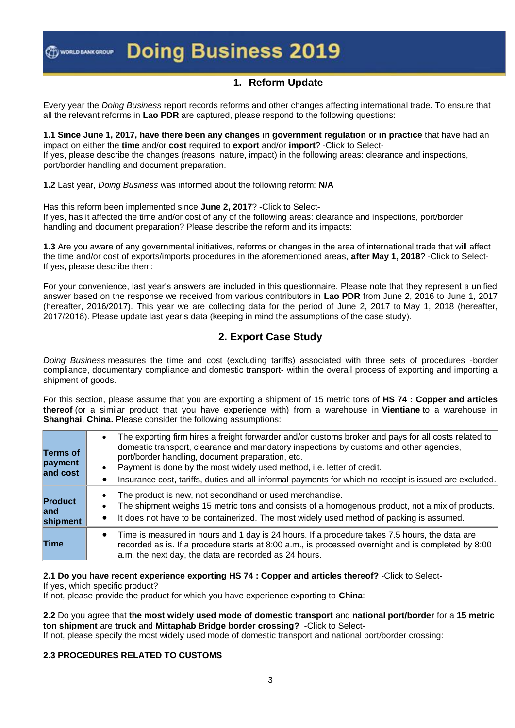## **1. Reform Update**

Every year the *Doing Business* report records reforms and other changes affecting international trade. To ensure that all the relevant reforms in **Lao PDR** are captured, please respond to the following questions:

**1.1 Since June 1, 2017, have there been any changes in government regulation** or **in practice** that have had an impact on either the **time** and/or **cost** required to **export** and/or **import**? -Click to Select-If yes, please describe the changes (reasons, nature, impact) in the following areas: clearance and inspections, port/border handling and document preparation.

**1.2** Last year, *Doing Business* was informed about the following reform: **N/A**

Has this reform been implemented since **June 2, 2017**? -Click to Select-If yes, has it affected the time and/or cost of any of the following areas: clearance and inspections, port/border handling and document preparation? Please describe the reform and its impacts:

**1.3** Are you aware of any governmental initiatives, reforms or changes in the area of international trade that will affect the time and/or cost of exports/imports procedures in the aforementioned areas, **after May 1, 2018**? -Click to Select-If yes, please describe them:

For your convenience, last year's answers are included in this questionnaire. Please note that they represent a unified answer based on the response we received from various contributors in **Lao PDR** from June 2, 2016 to June 1, 2017 (hereafter, 2016/2017). This year we are collecting data for the period of June 2, 2017 to May 1, 2018 (hereafter, 2017/2018). Please update last year's data (keeping in mind the assumptions of the case study).

## **2. Export Case Study**

*Doing Business* measures the time and cost (excluding tariffs) associated with three sets of procedures -border compliance, documentary compliance and domestic transport- within the overall process of exporting and importing a shipment of goods.

For this section, please assume that you are exporting a shipment of 15 metric tons of **HS 74 : Copper and articles thereof** (or a similar product that you have experience with) from a warehouse in **Vientiane** to a warehouse in **Shanghai**, **China.** Please consider the following assumptions:

| Terms of<br>payment<br>and cost    | $\bullet$ | The exporting firm hires a freight forwarder and/or customs broker and pays for all costs related to<br>domestic transport, clearance and mandatory inspections by customs and other agencies,<br>port/border handling, document preparation, etc.<br>Payment is done by the most widely used method, i.e. letter of credit.<br>Insurance cost, tariffs, duties and all informal payments for which no receipt is issued are excluded. |
|------------------------------------|-----------|----------------------------------------------------------------------------------------------------------------------------------------------------------------------------------------------------------------------------------------------------------------------------------------------------------------------------------------------------------------------------------------------------------------------------------------|
| <b>Product</b><br>land<br>shipment |           | The product is new, not secondhand or used merchandise.<br>The shipment weighs 15 metric tons and consists of a homogenous product, not a mix of products.<br>It does not have to be containerized. The most widely used method of packing is assumed.                                                                                                                                                                                 |
| Time                               | $\bullet$ | Time is measured in hours and 1 day is 24 hours. If a procedure takes 7.5 hours, the data are<br>recorded as is. If a procedure starts at 8:00 a.m., is processed overnight and is completed by 8:00<br>a.m. the next day, the data are recorded as 24 hours.                                                                                                                                                                          |

#### **2.1 Do you have recent experience exporting HS 74 : Copper and articles thereof?** -Click to Select-

If yes, which specific product?

If not, please provide the product for which you have experience exporting to **China**:

**2.2** Do you agree that **the most widely used mode of domestic transport** and **national port/border** for a **15 metric ton shipment** are **truck** and **Mittaphab Bridge border crossing?** -Click to Select-

If not, please specify the most widely used mode of domestic transport and national port/border crossing:

#### **2.3 PROCEDURES RELATED TO CUSTOMS**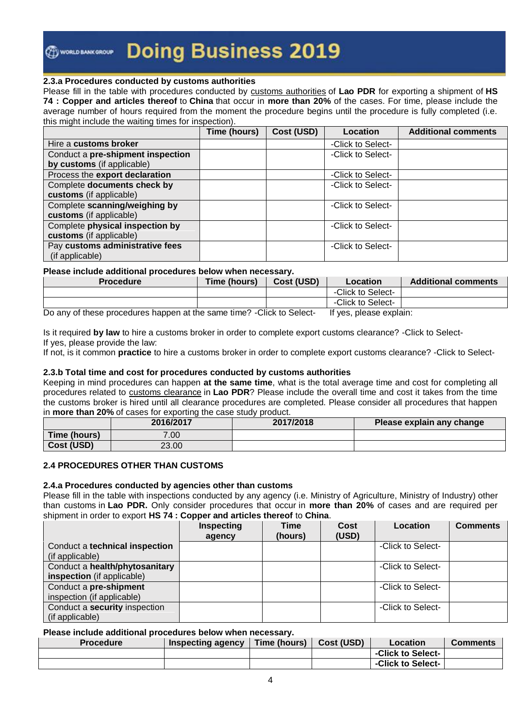WORLD BANK GROUP

## **Doing Business 2019**

#### **2.3.a Procedures conducted by customs authorities**

Please fill in the table with procedures conducted by customs authorities of **Lao PDR** for exporting a shipment of **HS 74 : Copper and articles thereof** to **China** that occur in **more than 20%** of the cases. For time, please include the average number of hours required from the moment the procedure begins until the procedure is fully completed (i.e. this might include the waiting times for inspection).

|                                   | Time (hours) | Cost (USD) | Location          | <b>Additional comments</b> |
|-----------------------------------|--------------|------------|-------------------|----------------------------|
| Hire a customs broker             |              |            | -Click to Select- |                            |
| Conduct a pre-shipment inspection |              |            | -Click to Select- |                            |
| by customs (if applicable)        |              |            |                   |                            |
| Process the export declaration    |              |            | -Click to Select- |                            |
| Complete documents check by       |              |            | -Click to Select- |                            |
| customs (if applicable)           |              |            |                   |                            |
| Complete scanning/weighing by     |              |            | -Click to Select- |                            |
| customs (if applicable)           |              |            |                   |                            |
| Complete physical inspection by   |              |            | -Click to Select- |                            |
| customs (if applicable)           |              |            |                   |                            |
| Pay customs administrative fees   |              |            | -Click to Select- |                            |
| (if applicable)                   |              |            |                   |                            |

#### **Please include additional procedures below when necessary.**

| <b>Procedure</b> | Time (hours) | Cost (USD) | Location          | <b>Additional comments</b> |
|------------------|--------------|------------|-------------------|----------------------------|
|                  |              |            | -Click to Select- |                            |
|                  |              |            | -Click to Select- |                            |

Do any of these procedures happen at the same time? -Click to Select- If yes, please explain:

Is it required **by law** to hire a customs broker in order to complete export customs clearance? -Click to Select-If yes, please provide the law:

If not, is it common **practice** to hire a customs broker in order to complete export customs clearance? -Click to Select-

#### **2.3.b Total time and cost for procedures conducted by customs authorities**

Keeping in mind procedures can happen **at the same time**, what is the total average time and cost for completing all procedures related to customs clearance in **Lao PDR**? Please include the overall time and cost it takes from the time the customs broker is hired until all clearance procedures are completed. Please consider all procedures that happen in **more than 20%** of cases for exporting the case study product.

|              | 2016/2017 | 2017/2018 | Please explain any change |
|--------------|-----------|-----------|---------------------------|
| Time (hours) | 7.00      |           |                           |
| Cost (USD)   | 23.00     |           |                           |

#### **2.4 PROCEDURES OTHER THAN CUSTOMS**

#### **2.4.a Procedures conducted by agencies other than customs**

Please fill in the table with inspections conducted by any agency (i.e. Ministry of Agriculture, Ministry of Industry) other than customs in **Lao PDR.** Only consider procedures that occur in **more than 20%** of cases and are required per shipment in order to export **HS 74 : Copper and articles thereof** to **China**.

|                                | Inspecting<br>agency | <b>Time</b><br>(hours) | Cost<br>(USD) | Location          | <b>Comments</b> |
|--------------------------------|----------------------|------------------------|---------------|-------------------|-----------------|
| Conduct a technical inspection |                      |                        |               | -Click to Select- |                 |
| (if applicable)                |                      |                        |               |                   |                 |
| Conduct a health/phytosanitary |                      |                        |               | -Click to Select- |                 |
| inspection (if applicable)     |                      |                        |               |                   |                 |
| Conduct a pre-shipment         |                      |                        |               | -Click to Select- |                 |
| inspection (if applicable)     |                      |                        |               |                   |                 |
| Conduct a security inspection  |                      |                        |               | -Click to Select- |                 |
| (if applicable)                |                      |                        |               |                   |                 |

#### **Please include additional procedures below when necessary.**

| <b>Procedure</b> | Inspecting agency | Time (hours) | Cost (USD) | Location          | <b>Comments</b> |
|------------------|-------------------|--------------|------------|-------------------|-----------------|
|                  |                   |              |            | -Click to Select- |                 |
|                  |                   |              |            | -Click to Select- |                 |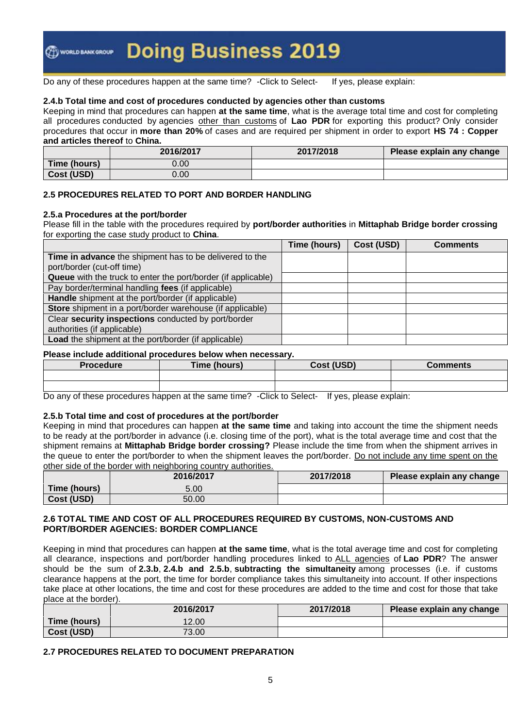Do any of these procedures happen at the same time? -Click to Select- If yes, please explain:

#### **2.4.b Total time and cost of procedures conducted by agencies other than customs**

Keeping in mind that procedures can happen **at the same time**, what is the average total time and cost for completing all procedures conducted by agencies other than customs of **Lao PDR** for exporting this product? Only consider procedures that occur in **more than 20%** of cases and are required per shipment in order to export **HS 74 : Copper and articles thereof** to **China.**

|              | 2016/2017 | 2017/2018 | Please explain any change |
|--------------|-----------|-----------|---------------------------|
| Time (hours) | 0.00      |           |                           |
| Cost (USD)   | 0.00      |           |                           |

#### **2.5 PROCEDURES RELATED TO PORT AND BORDER HANDLING**

#### **2.5.a Procedures at the port/border**

Please fill in the table with the procedures required by **port/border authorities** in **Mittaphab Bridge border crossing** for exporting the case study product to **China**.

|                                                                      | Time (hours) | Cost (USD) | <b>Comments</b> |
|----------------------------------------------------------------------|--------------|------------|-----------------|
| Time in advance the shipment has to be delivered to the              |              |            |                 |
| port/border (cut-off time)                                           |              |            |                 |
| <b>Queue</b> with the truck to enter the port/border (if applicable) |              |            |                 |
| Pay border/terminal handling fees (if applicable)                    |              |            |                 |
| Handle shipment at the port/border (if applicable)                   |              |            |                 |
| Store shipment in a port/border warehouse (if applicable)            |              |            |                 |
| Clear security inspections conducted by port/border                  |              |            |                 |
| authorities (if applicable)                                          |              |            |                 |
| <b>Load</b> the shipment at the port/border (if applicable)          |              |            |                 |

#### **Please include additional procedures below when necessary.**

| Procedure | Time (hours) | Cost (USD)               | <b>Comments</b> |
|-----------|--------------|--------------------------|-----------------|
|           |              |                          |                 |
|           |              |                          |                 |
|           |              | $\overline{\phantom{a}}$ |                 |

Do any of these procedures happen at the same time? -Click to Select- If yes, please explain:

#### **2.5.b Total time and cost of procedures at the port/border**

Keeping in mind that procedures can happen **at the same time** and taking into account the time the shipment needs to be ready at the port/border in advance (i.e. closing time of the port), what is the total average time and cost that the shipment remains at **Mittaphab Bridge border crossing?** Please include the time from when the shipment arrives in the queue to enter the port/border to when the shipment leaves the port/border. Do not include any time spent on the other side of the border with neighboring country authorities.

|              | 2016/2017 | 2017/2018 | Please explain any change |
|--------------|-----------|-----------|---------------------------|
| Time (hours) | 5.00      |           |                           |
| Cost (USD)   | 50.00     |           |                           |

#### **2.6 TOTAL TIME AND COST OF ALL PROCEDURES REQUIRED BY CUSTOMS, NON-CUSTOMS AND PORT/BORDER AGENCIES: BORDER COMPLIANCE**

Keeping in mind that procedures can happen **at the same time**, what is the total average time and cost for completing all clearance, inspections and port/border handling procedures linked to ALL agencies of **Lao PDR**? The answer should be the sum of **2.3.b**, **2.4.b and 2.5.b**, **subtracting the simultaneity** among processes (i.e. if customs clearance happens at the port, the time for border compliance takes this simultaneity into account. If other inspections take place at other locations, the time and cost for these procedures are added to the time and cost for those that take place at the border).

|              | 2016/2017 | 2017/2018 | Please explain any change |
|--------------|-----------|-----------|---------------------------|
| Time (hours) | 12.00     |           |                           |
| Cost (USD)   | 73.00     |           |                           |

#### **2.7 PROCEDURES RELATED TO DOCUMENT PREPARATION**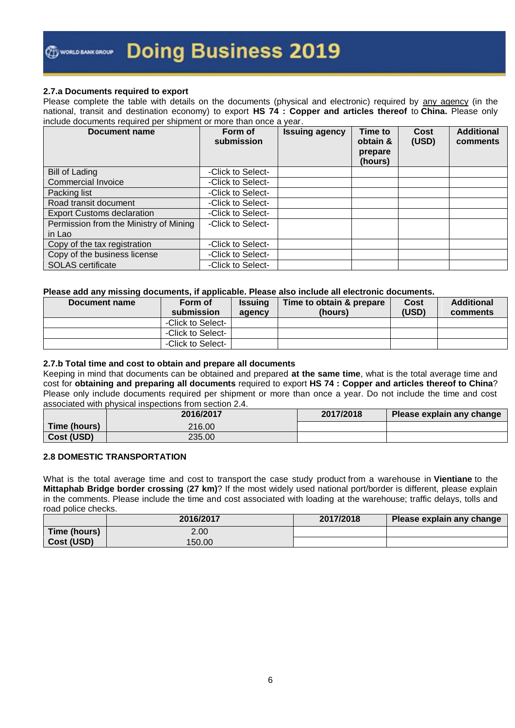#### **2.7.a Documents required to export**

Please complete the table with details on the documents (physical and electronic) required by any agency (in the national, transit and destination economy) to export **HS 74 : Copper and articles thereof** to **China.** Please only include documents required per shipment or more than once a year.

| Document name                          | Form of<br>submission | <b>Issuing agency</b> | <b>Time to</b><br>obtain &<br>prepare<br>(hours) | <b>Cost</b><br>(USD) | <b>Additional</b><br>comments |
|----------------------------------------|-----------------------|-----------------------|--------------------------------------------------|----------------------|-------------------------------|
| <b>Bill of Lading</b>                  | -Click to Select-     |                       |                                                  |                      |                               |
| Commercial Invoice                     | -Click to Select-     |                       |                                                  |                      |                               |
| Packing list                           | -Click to Select-     |                       |                                                  |                      |                               |
| Road transit document                  | -Click to Select-     |                       |                                                  |                      |                               |
| <b>Export Customs declaration</b>      | -Click to Select-     |                       |                                                  |                      |                               |
| Permission from the Ministry of Mining | -Click to Select-     |                       |                                                  |                      |                               |
| in Lao                                 |                       |                       |                                                  |                      |                               |
| Copy of the tax registration           | -Click to Select-     |                       |                                                  |                      |                               |
| Copy of the business license           | -Click to Select-     |                       |                                                  |                      |                               |
| <b>SOLAS</b> certificate               | -Click to Select-     |                       |                                                  |                      |                               |

#### **Please add any missing documents, if applicable. Please also include all electronic documents.**

| Document name | Form of<br>submission | <b>Issuing</b><br>agency | Time to obtain & prepare<br>(hours) | Cost<br>(USD) | <b>Additional</b><br>comments |
|---------------|-----------------------|--------------------------|-------------------------------------|---------------|-------------------------------|
|               | -Click to Select-     |                          |                                     |               |                               |
|               | -Click to Select-     |                          |                                     |               |                               |
|               | -Click to Select-     |                          |                                     |               |                               |

#### **2.7.b Total time and cost to obtain and prepare all documents**

Keeping in mind that documents can be obtained and prepared **at the same time**, what is the total average time and cost for **obtaining and preparing all documents** required to export **HS 74 : Copper and articles thereof to China**? Please only include documents required per shipment or more than once a year. Do not include the time and cost associated with physical inspections from section 2.4.

|              | 2016/2017 | 2017/2018 | Please explain any change |
|--------------|-----------|-----------|---------------------------|
| Time (hours) | 216.00    |           |                           |
| Cost (USD)   | 235.00    |           |                           |

#### **2.8 DOMESTIC TRANSPORTATION**

What is the total average time and cost to transport the case study product from a warehouse in **Vientiane** to the **Mittaphab Bridge border crossing** (**27 km)**? If the most widely used national port/border is different, please explain in the comments. Please include the time and cost associated with loading at the warehouse; traffic delays, tolls and road police checks.

|              | 2016/2017 | 2017/2018 | Please explain any change |
|--------------|-----------|-----------|---------------------------|
| Time (hours) | 2.00      |           |                           |
| Cost (USD)   | 150.00    |           |                           |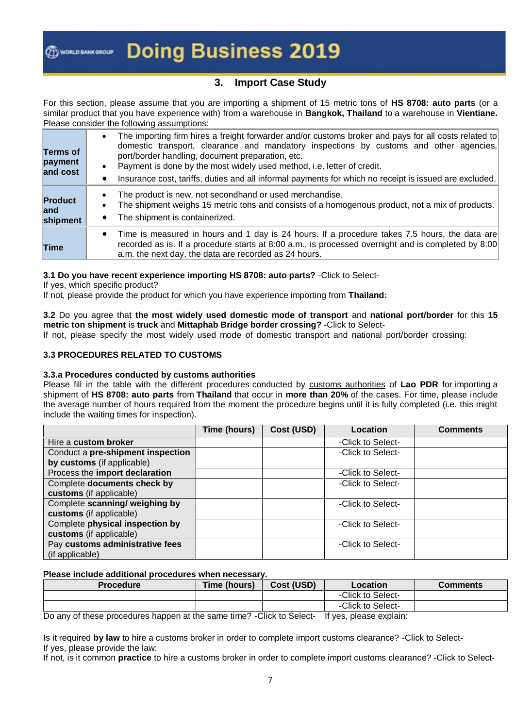### **3. Import Case Study**

For this section, please assume that you are importing a shipment of 15 metric tons of **HS 8708: auto parts** (or a similar product that you have experience with) from a warehouse in **Bangkok, Thailand** to a warehouse in **Vientiane.** Please consider the following assumptions:

| Terms of<br>payment<br>and cost | The importing firm hires a freight forwarder and/or customs broker and pays for all costs related to<br>domestic transport, clearance and mandatory inspections by customs and other agencies,<br>port/border handling, document preparation, etc.<br>Payment is done by the most widely used method, i.e. letter of credit.<br>Insurance cost, tariffs, duties and all informal payments for which no receipt is issued are excluded. |
|---------------------------------|----------------------------------------------------------------------------------------------------------------------------------------------------------------------------------------------------------------------------------------------------------------------------------------------------------------------------------------------------------------------------------------------------------------------------------------|
| Product<br>land<br>shipment     | The product is new, not secondhand or used merchandise.<br>The shipment weighs 15 metric tons and consists of a homogenous product, not a mix of products.<br>The shipment is containerized.<br>$\bullet$                                                                                                                                                                                                                              |
| Time                            | Time is measured in hours and 1 day is 24 hours. If a procedure takes 7.5 hours, the data are<br>recorded as is. If a procedure starts at 8:00 a.m., is processed overnight and is completed by 8:00<br>a.m. the next day, the data are recorded as 24 hours.                                                                                                                                                                          |

#### **3.1 Do you have recent experience importing HS 8708: auto parts?** -Click to Select-

If yes, which specific product?

If not, please provide the product for which you have experience importing from **Thailand:**

**3.2** Do you agree that **the most widely used domestic mode of transport** and **national port/border** for this **15 metric ton shipment** is **truck** and **Mittaphab Bridge border crossing?** -Click to Select-

If not, please specify the most widely used mode of domestic transport and national port/border crossing:

#### **3.3 PROCEDURES RELATED TO CUSTOMS**

#### **3.3.a Procedures conducted by customs authorities**

Please fill in the table with the different procedures conducted by customs authorities of **Lao PDR** for importing a shipment of **HS 8708: auto parts** from **Thailand** that occur in **more than 20%** of the cases. For time, please include the average number of hours required from the moment the procedure begins until it is fully completed (i.e. this might include the waiting times for inspection).

|                                   | Time (hours) | Cost (USD) | Location          | <b>Comments</b> |
|-----------------------------------|--------------|------------|-------------------|-----------------|
| Hire a custom broker              |              |            | -Click to Select- |                 |
| Conduct a pre-shipment inspection |              |            | -Click to Select- |                 |
| by customs (if applicable)        |              |            |                   |                 |
| Process the import declaration    |              |            | -Click to Select- |                 |
| Complete documents check by       |              |            | -Click to Select- |                 |
| customs (if applicable)           |              |            |                   |                 |
| Complete scanning/ weighing by    |              |            | -Click to Select- |                 |
| customs (if applicable)           |              |            |                   |                 |
| Complete physical inspection by   |              |            | -Click to Select- |                 |
| customs (if applicable)           |              |            |                   |                 |
| Pay customs administrative fees   |              |            | -Click to Select- |                 |
| (if applicable)                   |              |            |                   |                 |

#### **Please include additional procedures when necessary.**

| <b>Procedure</b> | Time (hours) | Cost (USD) | Location          | Comments |
|------------------|--------------|------------|-------------------|----------|
|                  |              |            | -Click to Select- |          |
|                  |              |            | -Click to Select- |          |

Do any of these procedures happen at the same time? -Click to Select- If yes, please explain:

Is it required **by law** to hire a customs broker in order to complete import customs clearance? -Click to Select-If yes, please provide the law:

If not, is it common **practice** to hire a customs broker in order to complete import customs clearance? -Click to Select-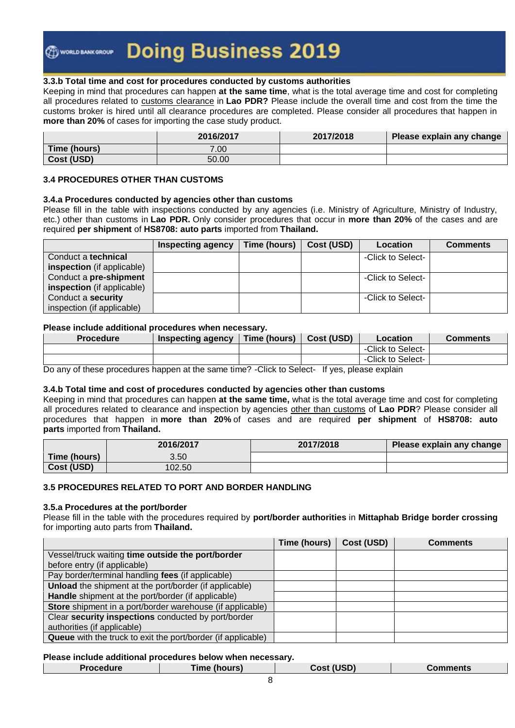#### **3.3.b Total time and cost for procedures conducted by customs authorities**

Keeping in mind that procedures can happen **at the same time**, what is the total average time and cost for completing all procedures related to customs clearance in **Lao PDR?** Please include the overall time and cost from the time the customs broker is hired until all clearance procedures are completed. Please consider all procedures that happen in **more than 20%** of cases for importing the case study product.

|              | 2016/2017 | 2017/2018 | Please explain any change |
|--------------|-----------|-----------|---------------------------|
| Time (hours) | 7.00      |           |                           |
| Cost (USD)   | 50.00     |           |                           |

#### **3.4 PROCEDURES OTHER THAN CUSTOMS**

#### **3.4.a Procedures conducted by agencies other than customs**

Please fill in the table with inspections conducted by any agencies (i.e. Ministry of Agriculture, Ministry of Industry, etc.) other than customs in **Lao PDR.** Only consider procedures that occur in **more than 20%** of the cases and are required **per shipment** of **HS8708: auto parts** imported from **Thailand.**

|                                   | <b>Inspecting agency</b> | Time (hours) | Cost (USD) | Location          | <b>Comments</b> |
|-----------------------------------|--------------------------|--------------|------------|-------------------|-----------------|
| Conduct a technical               |                          |              |            | -Click to Select- |                 |
| <b>inspection</b> (if applicable) |                          |              |            |                   |                 |
| Conduct a pre-shipment            |                          |              |            | -Click to Select- |                 |
| <b>inspection</b> (if applicable) |                          |              |            |                   |                 |
| Conduct a security                |                          |              |            | -Click to Select- |                 |
| inspection (if applicable)        |                          |              |            |                   |                 |

#### **Please include additional procedures when necessary.**

| <b>Procedure</b> | Inspecting agency | Time (hours) | Cost (USD) | Location          | <b>Comments</b> |
|------------------|-------------------|--------------|------------|-------------------|-----------------|
|                  |                   |              |            | -Click to Select- |                 |
|                  |                   |              |            | -Click to Select- |                 |

Do any of these procedures happen at the same time? -Click to Select- If yes, please explain

#### **3.4.b Total time and cost of procedures conducted by agencies other than customs**

Keeping in mind that procedures can happen **at the same time,** what is the total average time and cost for completing all procedures related to clearance and inspection by agencies other than customs of **Lao PDR**? Please consider all procedures that happen in **more than 20%** of cases and are required **per shipment** of **HS8708: auto parts** imported from **Thailand.**

|              | 2016/2017 | 2017/2018 | Please explain any change |
|--------------|-----------|-----------|---------------------------|
| Time (hours) | 3.50      |           |                           |
| Cost (USD)   | 102.50    |           |                           |

#### **3.5 PROCEDURES RELATED TO PORT AND BORDER HANDLING**

#### **3.5.a Procedures at the port/border**

Please fill in the table with the procedures required by **port/border authorities** in **Mittaphab Bridge border crossing** for importing auto parts from **Thailand.**

|                                                                     | Time (hours) | Cost (USD) | <b>Comments</b> |
|---------------------------------------------------------------------|--------------|------------|-----------------|
| Vessel/truck waiting time outside the port/border                   |              |            |                 |
| before entry (if applicable)                                        |              |            |                 |
| Pay border/terminal handling fees (if applicable)                   |              |            |                 |
| Unload the shipment at the port/border (if applicable)              |              |            |                 |
| Handle shipment at the port/border (if applicable)                  |              |            |                 |
| Store shipment in a port/border warehouse (if applicable)           |              |            |                 |
| Clear security inspections conducted by port/border                 |              |            |                 |
| authorities (if applicable)                                         |              |            |                 |
| <b>Queue</b> with the truck to exit the port/border (if applicable) |              |            |                 |

#### **Please include additional procedures below when necessary.**

| <b>Procedure</b> | Time (hours). | Cost (USD) | Comments |
|------------------|---------------|------------|----------|
|                  |               |            |          |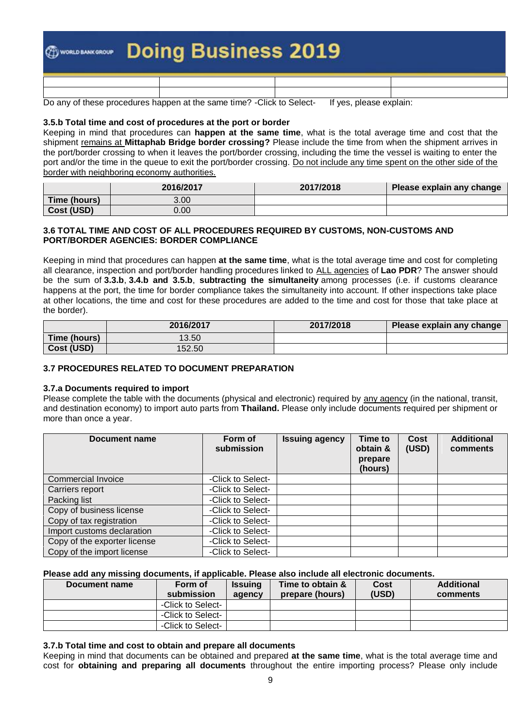| <b>@www.wwwwwwwwww.Doing Business 2019</b> |  |  |  |  |  |
|--------------------------------------------|--|--|--|--|--|
|                                            |  |  |  |  |  |

Do any of these procedures happen at the same time? -Click to Select- If yes, please explain:

#### **3.5.b Total time and cost of procedures at the port or border**

Keeping in mind that procedures can **happen at the same time**, what is the total average time and cost that the shipment remains at **Mittaphab Bridge border crossing?** Please include the time from when the shipment arrives in the port/border crossing to when it leaves the port/border crossing, including the time the vessel is waiting to enter the port and/or the time in the queue to exit the port/border crossing. Do not include any time spent on the other side of the border with neighboring economy authorities.

|              | 2016/2017 | 2017/2018 | Please explain any change |
|--------------|-----------|-----------|---------------------------|
| Time (hours) | 3.00      |           |                           |
| Cost (USD)   | 0.00      |           |                           |

#### **3.6 TOTAL TIME AND COST OF ALL PROCEDURES REQUIRED BY CUSTOMS, NON-CUSTOMS AND PORT/BORDER AGENCIES: BORDER COMPLIANCE**

Keeping in mind that procedures can happen **at the same time**, what is the total average time and cost for completing all clearance, inspection and port/border handling procedures linked to ALL agencies of **Lao PDR**? The answer should be the sum of **3.3.b**, **3.4.b and 3.5.b**, **subtracting the simultaneity** among processes (i.e. if customs clearance happens at the port, the time for border compliance takes the simultaneity into account. If other inspections take place at other locations, the time and cost for these procedures are added to the time and cost for those that take place at the border).

|              | 2016/2017 | 2017/2018 | Please explain any change |
|--------------|-----------|-----------|---------------------------|
| Time (hours) | 13.50     |           |                           |
| Cost (USD)   | 152.50    |           |                           |

#### **3.7 PROCEDURES RELATED TO DOCUMENT PREPARATION**

#### **3.7.a Documents required to import**

Please complete the table with the documents (physical and electronic) required by any agency (in the national, transit, and destination economy) to import auto parts from **Thailand.** Please only include documents required per shipment or more than once a year.

| Document name                | Form of<br>submission | <b>Issuing agency</b> | <b>Time to</b><br>obtain &<br>prepare<br>(hours) | Cost<br>(USD) | <b>Additional</b><br>comments |
|------------------------------|-----------------------|-----------------------|--------------------------------------------------|---------------|-------------------------------|
| Commercial Invoice           | -Click to Select-     |                       |                                                  |               |                               |
| Carriers report              | -Click to Select-     |                       |                                                  |               |                               |
| Packing list                 | -Click to Select-     |                       |                                                  |               |                               |
| Copy of business license     | -Click to Select-     |                       |                                                  |               |                               |
| Copy of tax registration     | -Click to Select-     |                       |                                                  |               |                               |
| Import customs declaration   | -Click to Select-     |                       |                                                  |               |                               |
| Copy of the exporter license | -Click to Select-     |                       |                                                  |               |                               |
| Copy of the import license   | -Click to Select-     |                       |                                                  |               |                               |

**Please add any missing documents, if applicable. Please also include all electronic documents.**

| Document name | Form of<br>submission | <b>Issuing</b><br>agency | Time to obtain &<br>prepare (hours) | Cost<br>(USD) | <b>Additional</b><br>comments |
|---------------|-----------------------|--------------------------|-------------------------------------|---------------|-------------------------------|
|               | -Click to Select-     |                          |                                     |               |                               |
|               | -Click to Select-     |                          |                                     |               |                               |
|               | -Click to Select-     |                          |                                     |               |                               |

#### **3.7.b Total time and cost to obtain and prepare all documents**

Keeping in mind that documents can be obtained and prepared **at the same time**, what is the total average time and cost for **obtaining and preparing all documents** throughout the entire importing process? Please only include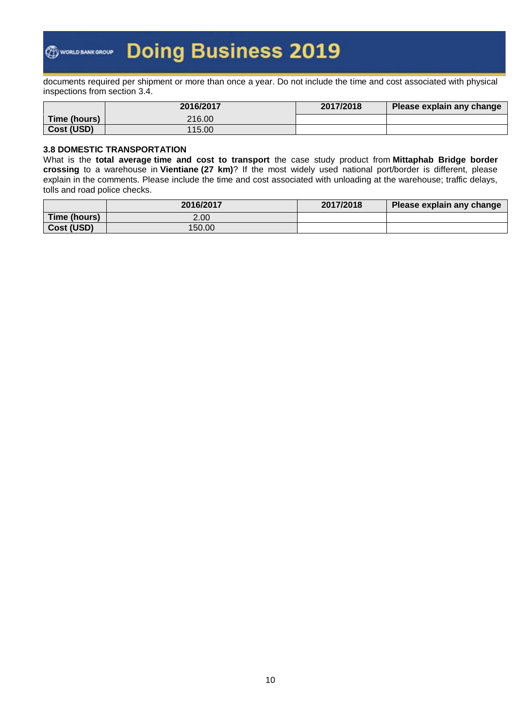documents required per shipment or more than once a year. Do not include the time and cost associated with physical inspections from section 3.4.

|              | 2016/2017 | 2017/2018 | Please explain any change |
|--------------|-----------|-----------|---------------------------|
| Time (hours) | 216.00    |           |                           |
| Cost (USD)   | 115.00    |           |                           |

### **3.8 DOMESTIC TRANSPORTATION**

What is the **total average time and cost to transport** the case study product from **Mittaphab Bridge border crossing** to a warehouse in **Vientiane (27 km)**? If the most widely used national port/border is different, please explain in the comments. Please include the time and cost associated with unloading at the warehouse; traffic delays, tolls and road police checks.

|              | 2016/2017 | 2017/2018 | Please explain any change |
|--------------|-----------|-----------|---------------------------|
| Time (hours) | 2.00      |           |                           |
| Cost (USD)   | 150.00    |           |                           |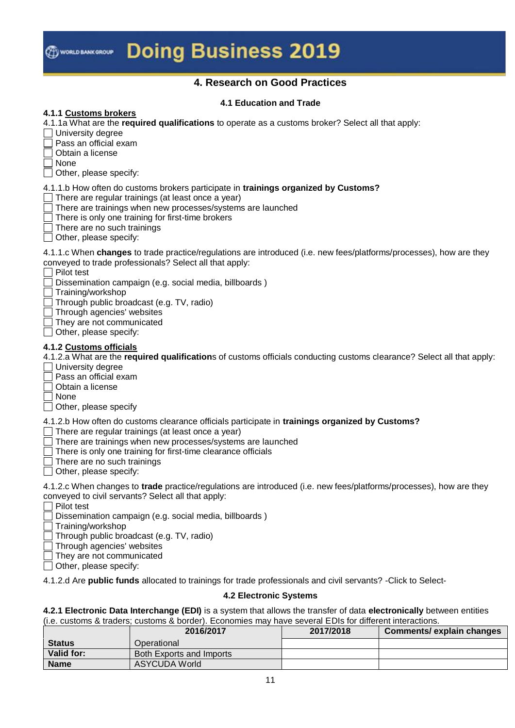

### **4. Research on Good Practices**

### **4.1 Education and Trade**

#### **4.1.1 Customs brokers**

4.1.1a What are the **required qualifications** to operate as a customs broker? Select all that apply:

 $\Box$  University degree

 $\exists$  Pass an official exam

 $\Box$  Obtain a license

None

 $\Box$  Other, please specify:

4.1.1.b How often do customs brokers participate in **trainings organized by Customs?**

 $\Box$  There are regular trainings (at least once a year)

 $\Box$  There are trainings when new processes/systems are launched

 $\Box$  There is only one training for first-time brokers

 $\Box$  There are no such trainings

 $\Box$  Other, please specify:

4.1.1.c When **changes** to trade practice/regulations are introduced (i.e. new fees/platforms/processes), how are they conveyed to trade professionals? Select all that apply:

**□ Pilot test** 

Dissemination campaign (e.g. social media, billboards )

Training/workshop

Through public broadcast (e.g. TV, radio)

Through agencies' websites

They are not communicated

 $\Box$  Other, please specify:

#### **4.1.2 Customs officials**

4.1.2.a What are the **required qualification**s of customs officials conducting customs clearance? Select all that apply:

 $\Box$  University degree

Pass an official exam

Obtain a license

 $\Box$  None

 $\Box$  Other, please specify

4.1.2.b How often do customs clearance officials participate in **trainings organized by Customs?**

 $\Box$  There are regular trainings (at least once a vear)

There are trainings when new processes/systems are launched

There is only one training for first-time clearance officials

There are no such trainings

Other, please specify:

4.1.2.c When changes to **trade** practice/regulations are introduced (i.e. new fees/platforms/processes), how are they conveyed to civil servants? Select all that apply:

 $\Box$  Pilot test

Dissemination campaign (e.g. social media, billboards )

Training/workshop

Through public broadcast (e.g. TV, radio)

 $\Box$  Through agencies' websites

They are not communicated

 $\Box$  Other, please specify:

4.1.2.d Are **public funds** allocated to trainings for trade professionals and civil servants? -Click to Select-

### **4.2 Electronic Systems**

**4.2.1 Electronic Data Interchange (EDI)** is a system that allows the transfer of data **electronically** between entities (i.e. customs & traders; customs & border). Economies may have several EDIs for different interactions.

|               | 2016/2017                | 2017/2018 | Comments/ explain changes |
|---------------|--------------------------|-----------|---------------------------|
| <b>Status</b> | Operational              |           |                           |
| Valid for:    | Both Exports and Imports |           |                           |
| <b>Name</b>   | ASYCUDA World            |           |                           |
|               |                          |           |                           |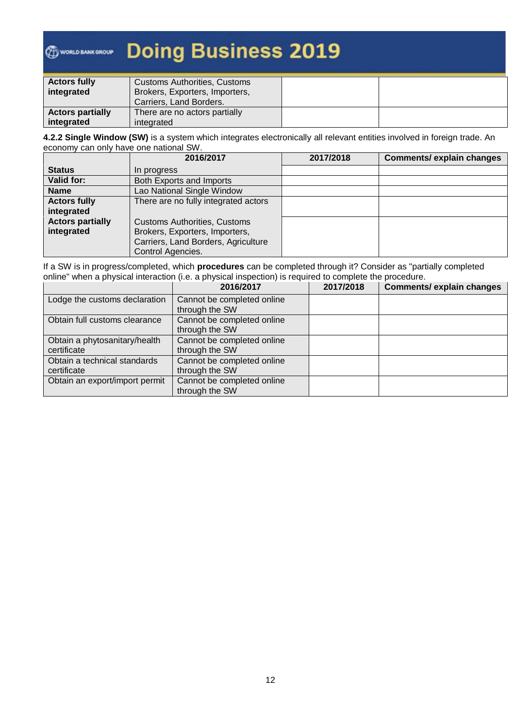## **Doing Business 2019 O WORLD BANK GROUP**

| <b>Actors fully</b>     | <b>Customs Authorities, Customs</b>                       |  |
|-------------------------|-----------------------------------------------------------|--|
| integrated              | Brokers, Exporters, Importers,<br>Carriers, Land Borders. |  |
| <b>Actors partially</b> | There are no actors partially                             |  |
| integrated              | integrated                                                |  |

**4.2.2 Single Window (SW)** is a system which integrates electronically all relevant entities involved in foreign trade. An economy can only have one national SW.

|                         | 2016/2017                            | 2017/2018 | <b>Comments/ explain changes</b> |
|-------------------------|--------------------------------------|-----------|----------------------------------|
| <b>Status</b>           | In progress                          |           |                                  |
| Valid for:              | Both Exports and Imports             |           |                                  |
| <b>Name</b>             | Lao National Single Window           |           |                                  |
| <b>Actors fully</b>     | There are no fully integrated actors |           |                                  |
| integrated              |                                      |           |                                  |
| <b>Actors partially</b> | <b>Customs Authorities, Customs</b>  |           |                                  |
| integrated              | Brokers, Exporters, Importers,       |           |                                  |
|                         | Carriers, Land Borders, Agriculture  |           |                                  |
|                         | Control Agencies.                    |           |                                  |

If a SW is in progress/completed, which **procedures** can be completed through it? Consider as "partially completed online" when a physical interaction (i.e. a physical inspection) is required to complete the procedure.

|                                | 2016/2017                  | 2017/2018 | <b>Comments/ explain changes</b> |
|--------------------------------|----------------------------|-----------|----------------------------------|
| Lodge the customs declaration  | Cannot be completed online |           |                                  |
|                                | through the SW             |           |                                  |
| Obtain full customs clearance  | Cannot be completed online |           |                                  |
|                                | through the SW             |           |                                  |
| Obtain a phytosanitary/health  | Cannot be completed online |           |                                  |
| certificate                    | through the SW             |           |                                  |
| Obtain a technical standards   | Cannot be completed online |           |                                  |
| certificate                    | through the SW             |           |                                  |
| Obtain an export/import permit | Cannot be completed online |           |                                  |
|                                | through the SW             |           |                                  |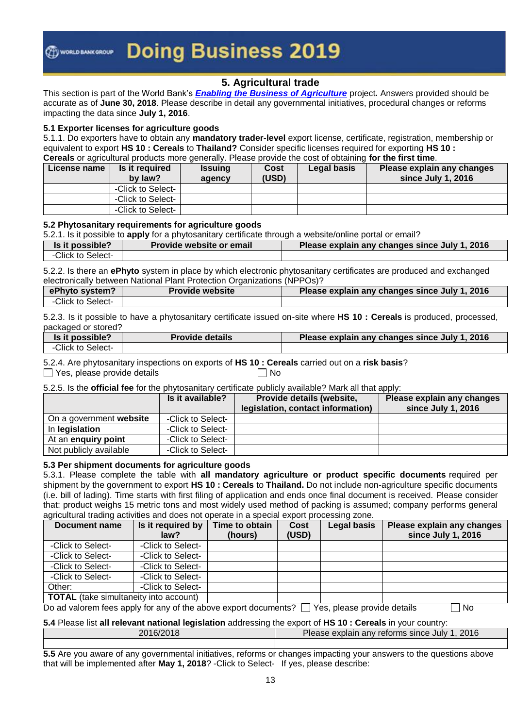### **5. Agricultural trade**

This section is part of the World Bank's *[Enabling the Business of Agriculture](http://eba.worldbank.org/)* project*.* Answers provided should be accurate as of **June 30, 2018**. Please describe in detail any governmental initiatives, procedural changes or reforms impacting the data since **July 1, 2016**.

#### **5.1 Exporter licenses for agriculture goods**

5.1.1. Do exporters have to obtain any **mandatory trader-level** export license, certificate, registration, membership or equivalent to export **HS 10 : Cereals** to **Thailand?** Consider specific licenses required for exporting **HS 10 : Cereals** or agricultural products more generally. Please provide the cost of obtaining **for the first time**.

| License name | Is it required<br>by law? | <b>Issuing</b><br>agency | Cost<br>(USD) | Legal basis | Please explain any changes<br>since July 1, 2016 |
|--------------|---------------------------|--------------------------|---------------|-------------|--------------------------------------------------|
|              | -Click to Select-         |                          |               |             |                                                  |
|              | -Click to Select-         |                          |               |             |                                                  |
|              | -Click to Select-         |                          |               |             |                                                  |

#### **5.2 Phytosanitary requirements for agriculture goods**

5.2.1. Is it possible to **apply** for a phytosanitary certificate through a website/online portal or email?

| Is it possible?   | <b>Provide website or email</b> | Please explain any changes since July 1, 2016 |
|-------------------|---------------------------------|-----------------------------------------------|
| -Click to Select- |                                 |                                               |
|                   |                                 |                                               |

5.2.2. Is there an **ePhyto** system in place by which electronic phytosanitary certificates are produced and exchanged electronically between National Plant Protection Organizations (NPPOs)?

| ePhyto system?    | <b>Provide website</b> | Please explain any changes since July 1, 2016 |
|-------------------|------------------------|-----------------------------------------------|
| -Click to Select- |                        |                                               |

5.2.3. Is it possible to have a phytosanitary certificate issued on-site where **HS 10 : Cereals** is produced, processed, packaged or stored?

| Is it possible?   | <b>Provide details</b> | Please explain any changes since July 1, 2016 |
|-------------------|------------------------|-----------------------------------------------|
| -Click to Select- |                        |                                               |

5.2.4. Are phytosanitary inspections on exports of **HS 10 : Cereals** carried out on a **risk basis**?

 $\Box$  Yes, please provide details  $\Box$  No

5.2.5. Is the **official fee** for the phytosanitary certificate publicly available? Mark all that apply:

|                         | Is it available?  | Provide details (website,         | Please explain any changes |
|-------------------------|-------------------|-----------------------------------|----------------------------|
|                         |                   | legislation, contact information) | since July 1, 2016         |
| On a government website | -Click to Select- |                                   |                            |
| In legislation          | -Click to Select- |                                   |                            |
| At an enquiry point     | -Click to Select- |                                   |                            |
| Not publicly available  | -Click to Select- |                                   |                            |

#### **5.3 Per shipment documents for agriculture goods**

5.3.1. Please complete the table with **all mandatory agriculture or product specific documents** required per shipment by the government to export **HS 10 : Cereals** to **Thailand.** Do not include non-agriculture specific documents (i.e. bill of lading). Time starts with first filing of application and ends once final document is received. Please consider that: product weighs 15 metric tons and most widely used method of packing is assumed; company performs general agricultural trading activities and does not operate in a special export processing zone.

| Document name                                 | Is it required by<br>law? | Time to obtain<br>(hours) | Cost<br>(USD) | Legal basis | Please explain any changes<br>since July 1, 2016 |
|-----------------------------------------------|---------------------------|---------------------------|---------------|-------------|--------------------------------------------------|
| -Click to Select-                             | -Click to Select-         |                           |               |             |                                                  |
| -Click to Select-                             | -Click to Select-         |                           |               |             |                                                  |
| -Click to Select-                             | -Click to Select-         |                           |               |             |                                                  |
| -Click to Select-                             | -Click to Select-         |                           |               |             |                                                  |
| Other:                                        | -Click to Select-         |                           |               |             |                                                  |
| <b>TOTAL</b> (take simultaneity into account) |                           |                           |               |             |                                                  |

Do ad valorem fees apply for any of the above export documents?  $\Box$  Yes, please provide details  $\Box$  No

#### **5.4** Please list **all relevant national legislation** addressing the export of **HS 10 : Cereals** in your country:

| 2016/2018 | Please explain<br>. 2016<br>any reforms since July 1. |
|-----------|-------------------------------------------------------|
|           |                                                       |

**5.5** Are you aware of any governmental initiatives, reforms or changes impacting your answers to the questions above that will be implemented after **May 1, 2018**? -Click to Select- If yes, please describe: